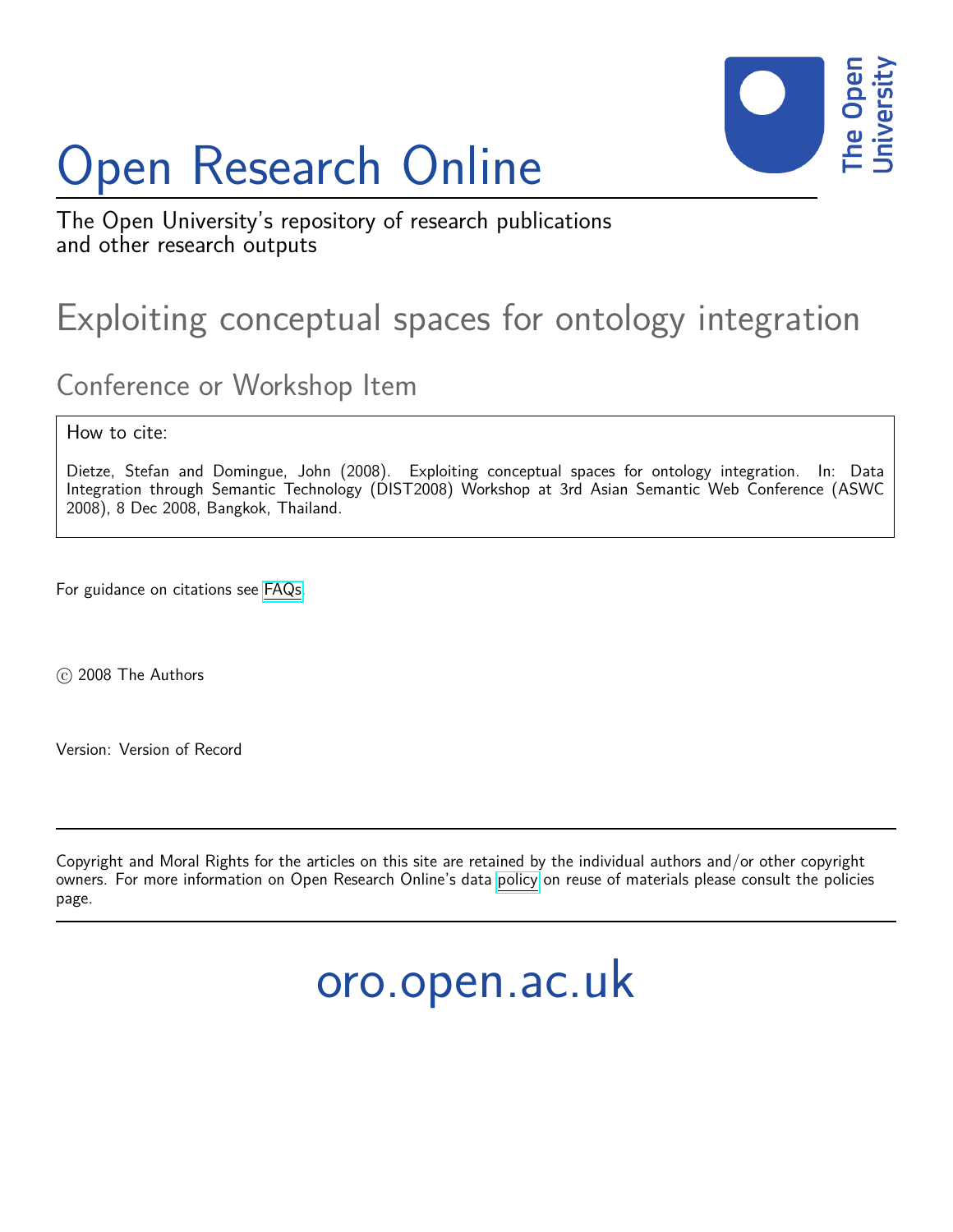# Open Research Online



The Open University's repository of research publications and other research outputs

## Exploiting conceptual spaces for ontology integration

### Conference or Workshop Item

How to cite:

Dietze, Stefan and Domingue, John (2008). Exploiting conceptual spaces for ontology integration. In: Data Integration through Semantic Technology (DIST2008) Workshop at 3rd Asian Semantic Web Conference (ASWC 2008), 8 Dec 2008, Bangkok, Thailand.

For guidance on citations see [FAQs.](http://oro.open.ac.uk/help/helpfaq.html)

c 2008 The Authors

Version: Version of Record

Copyright and Moral Rights for the articles on this site are retained by the individual authors and/or other copyright owners. For more information on Open Research Online's data [policy](http://oro.open.ac.uk/policies.html) on reuse of materials please consult the policies page.

oro.open.ac.uk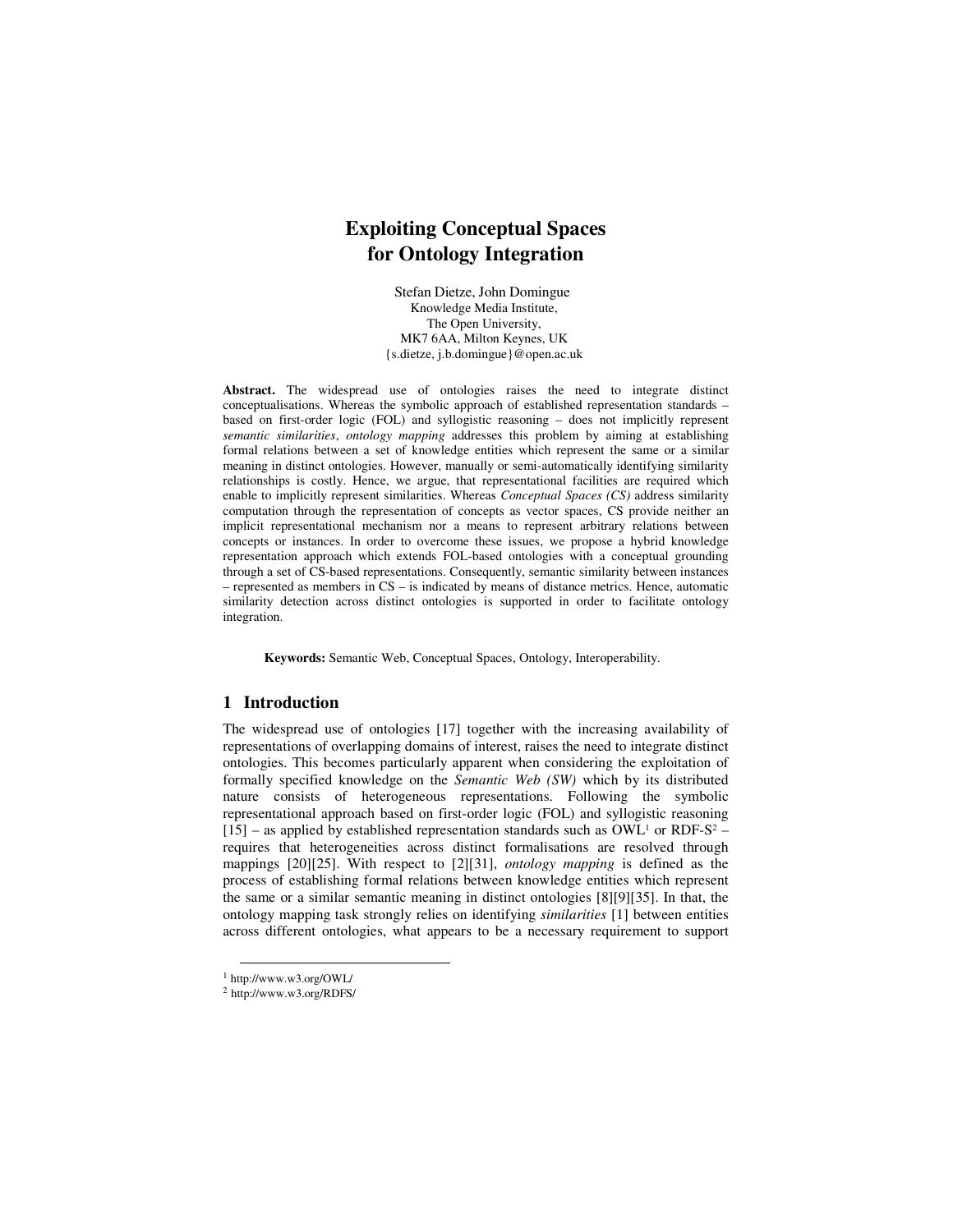#### **Exploiting Conceptual Spaces for Ontology Integration**

Stefan Dietze, John Domingue Knowledge Media Institute, The Open University, MK7 6AA, Milton Keynes, UK {s.dietze, j.b.domingue}@open.ac.uk

**Abstract.** The widespread use of ontologies raises the need to integrate distinct conceptualisations. Whereas the symbolic approach of established representation standards – based on first-order logic (FOL) and syllogistic reasoning – does not implicitly represent *semantic similarities*, *ontology mapping* addresses this problem by aiming at establishing formal relations between a set of knowledge entities which represent the same or a similar meaning in distinct ontologies. However, manually or semi-automatically identifying similarity relationships is costly. Hence, we argue, that representational facilities are required which enable to implicitly represent similarities. Whereas *Conceptual Spaces (CS)* address similarity computation through the representation of concepts as vector spaces, CS provide neither an implicit representational mechanism nor a means to represent arbitrary relations between concepts or instances. In order to overcome these issues, we propose a hybrid knowledge representation approach which extends FOL-based ontologies with a conceptual grounding through a set of CS-based representations. Consequently, semantic similarity between instances – represented as members in CS – is indicated by means of distance metrics. Hence, automatic similarity detection across distinct ontologies is supported in order to facilitate ontology integration.

**Keywords:** Semantic Web, Conceptual Spaces, Ontology, Interoperability.

#### **1 Introduction**

The widespread use of ontologies [17] together with the increasing availability of representations of overlapping domains of interest, raises the need to integrate distinct ontologies. This becomes particularly apparent when considering the exploitation of formally specified knowledge on the *Semantic Web (SW)* which by its distributed nature consists of heterogeneous representations. Following the symbolic representational approach based on first-order logic (FOL) and syllogistic reasoning  $[15]$  – as applied by established representation standards such as OWL<sup>1</sup> or RDF-S<sup>2</sup> – requires that heterogeneities across distinct formalisations are resolved through mappings [20][25]. With respect to [2][31], *ontology mapping* is defined as the process of establishing formal relations between knowledge entities which represent the same or a similar semantic meaning in distinct ontologies [8][9][35]. In that, the ontology mapping task strongly relies on identifying *similarities* [1] between entities across different ontologies, what appears to be a necessary requirement to support

1

<sup>1</sup> http://www.w3.org/OWL/

<sup>2</sup> http://www.w3.org/RDFS/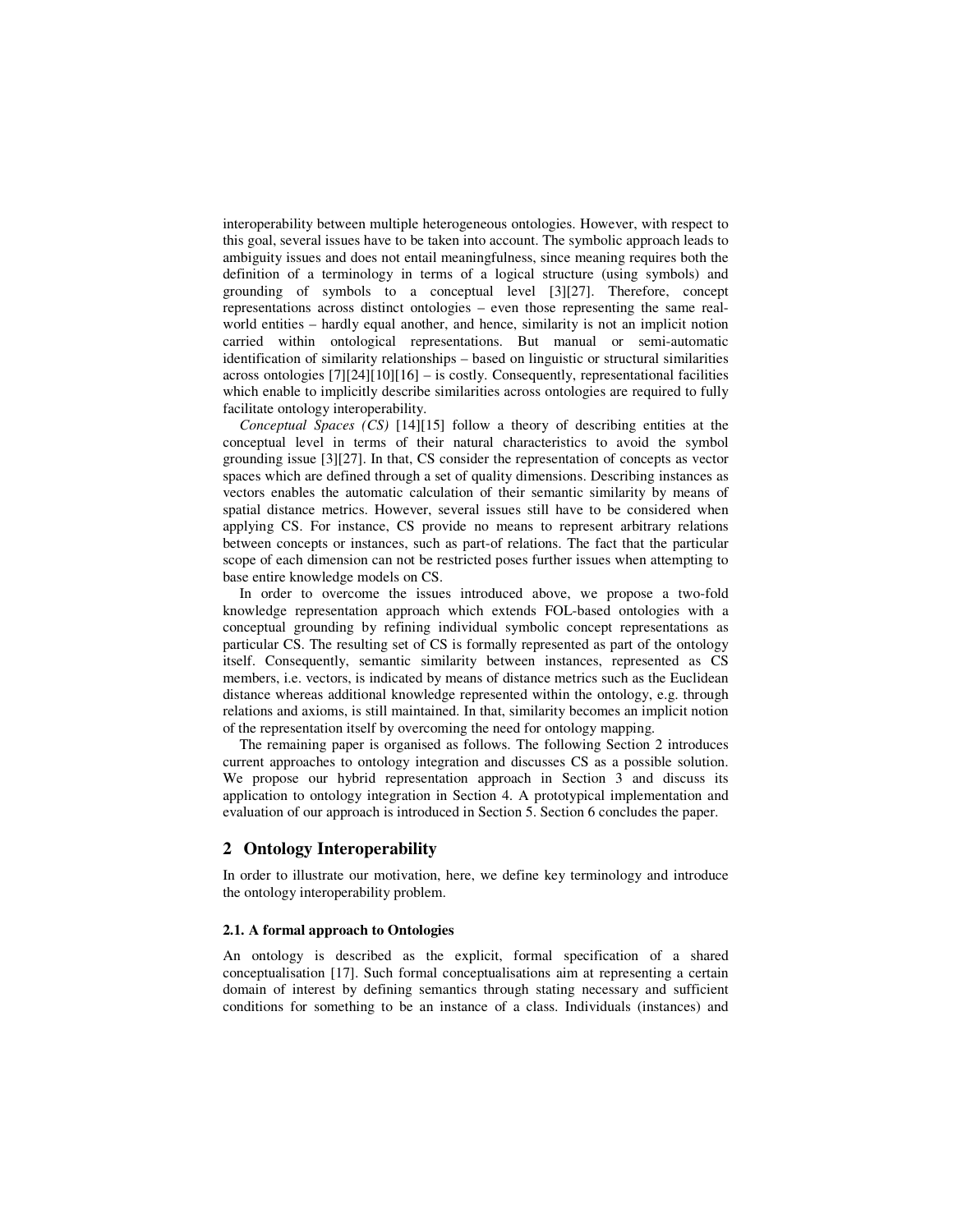interoperability between multiple heterogeneous ontologies. However, with respect to this goal, several issues have to be taken into account. The symbolic approach leads to ambiguity issues and does not entail meaningfulness, since meaning requires both the definition of a terminology in terms of a logical structure (using symbols) and grounding of symbols to a conceptual level [3][27]. Therefore, concept representations across distinct ontologies – even those representing the same realworld entities – hardly equal another, and hence, similarity is not an implicit notion carried within ontological representations. But manual or semi-automatic identification of similarity relationships – based on linguistic or structural similarities across ontologies [7][24][10][16] – is costly. Consequently, representational facilities which enable to implicitly describe similarities across ontologies are required to fully facilitate ontology interoperability.

*Conceptual Spaces (CS)* [14][15] follow a theory of describing entities at the conceptual level in terms of their natural characteristics to avoid the symbol grounding issue [3][27]. In that, CS consider the representation of concepts as vector spaces which are defined through a set of quality dimensions. Describing instances as vectors enables the automatic calculation of their semantic similarity by means of spatial distance metrics. However, several issues still have to be considered when applying CS. For instance, CS provide no means to represent arbitrary relations between concepts or instances, such as part-of relations. The fact that the particular scope of each dimension can not be restricted poses further issues when attempting to base entire knowledge models on CS.

In order to overcome the issues introduced above, we propose a two-fold knowledge representation approach which extends FOL-based ontologies with a conceptual grounding by refining individual symbolic concept representations as particular CS. The resulting set of CS is formally represented as part of the ontology itself. Consequently, semantic similarity between instances, represented as CS members, i.e. vectors, is indicated by means of distance metrics such as the Euclidean distance whereas additional knowledge represented within the ontology, e.g. through relations and axioms, is still maintained. In that, similarity becomes an implicit notion of the representation itself by overcoming the need for ontology mapping.

The remaining paper is organised as follows. The following Section 2 introduces current approaches to ontology integration and discusses CS as a possible solution. We propose our hybrid representation approach in Section 3 and discuss its application to ontology integration in Section 4. A prototypical implementation and evaluation of our approach is introduced in Section 5. Section 6 concludes the paper.

#### **2 Ontology Interoperability**

In order to illustrate our motivation, here, we define key terminology and introduce the ontology interoperability problem.

#### **2.1. A formal approach to Ontologies**

An ontology is described as the explicit, formal specification of a shared conceptualisation [17]. Such formal conceptualisations aim at representing a certain domain of interest by defining semantics through stating necessary and sufficient conditions for something to be an instance of a class. Individuals (instances) and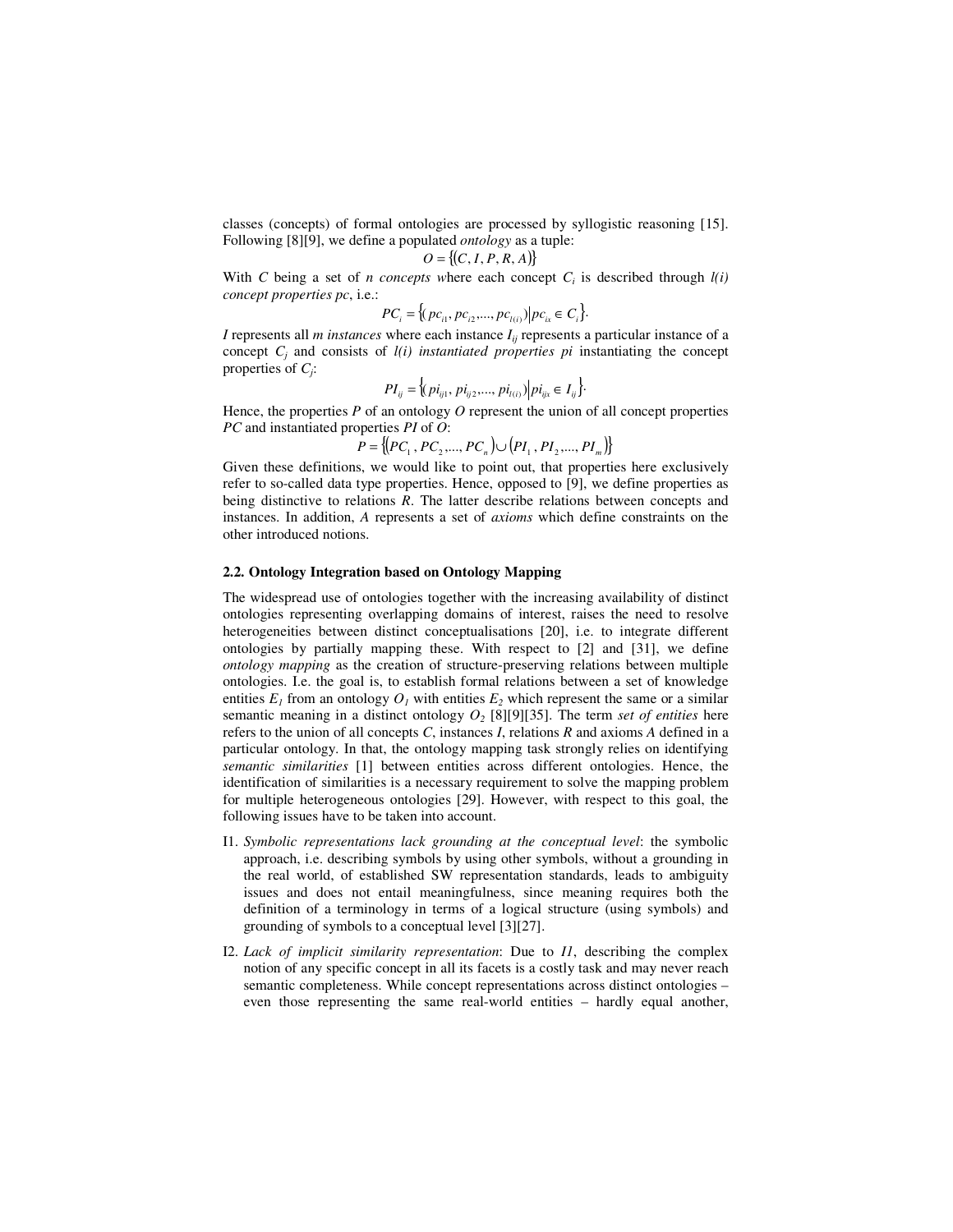classes (concepts) of formal ontologies are processed by syllogistic reasoning [15]. Following [8][9], we define a populated *ontology* as a tuple:

$$
O = \{(C, I, P, R, A)\}
$$

With *C* being a set of *n* concepts where each concept  $C_i$  is described through  $l(i)$ *concept properties pc*, i.e.:

$$
PC_i = \{(pc_{i1}, pc_{i2}, \ldots, pc_{l(i)}) \mid pc_{ix} \in C_i\}.
$$

*I* represents all *m instances* where each instance *Iij* represents a particular instance of a concept  $C_j$  and consists of  $l(i)$  *instantiated properties pi* instantiating the concept properties of  $C_j$ :

$$
PI_{ij} = \langle (pi_{ij1}, pi_{ij2},..., pi_{l(i)}) | pi_{ijx} \in I_{ij} \rangle.
$$

Hence, the properties  $P$  of an ontology  $O$  represent the union of all concept properties *PC* and instantiated properties *PI* of *O*:

$$
P = \{ (PC_1, PC_2, ..., PC_n) \cup (PI_1, PI_2, ..., PI_m) \}
$$

Given these definitions, we would like to point out, that properties here exclusively refer to so-called data type properties. Hence, opposed to [9], we define properties as being distinctive to relations *R*. The latter describe relations between concepts and instances. In addition, *A* represents a set of *axioms* which define constraints on the other introduced notions.

#### **2.2. Ontology Integration based on Ontology Mapping**

The widespread use of ontologies together with the increasing availability of distinct ontologies representing overlapping domains of interest, raises the need to resolve heterogeneities between distinct conceptualisations [20], i.e. to integrate different ontologies by partially mapping these. With respect to [2] and [31], we define *ontology mapping* as the creation of structure-preserving relations between multiple ontologies. I.e. the goal is, to establish formal relations between a set of knowledge entities  $E_I$  from an ontology  $O_I$  with entities  $E_2$  which represent the same or a similar semantic meaning in a distinct ontology  $O_2$  [8][9][35]. The term *set of entities* here refers to the union of all concepts *C*, instances *I*, relations *R* and axioms *A* defined in a particular ontology. In that, the ontology mapping task strongly relies on identifying *semantic similarities* [1] between entities across different ontologies. Hence, the identification of similarities is a necessary requirement to solve the mapping problem for multiple heterogeneous ontologies [29]. However, with respect to this goal, the following issues have to be taken into account.

- I1. *Symbolic representations lack grounding at the conceptual level*: the symbolic approach, i.e. describing symbols by using other symbols, without a grounding in the real world, of established SW representation standards, leads to ambiguity issues and does not entail meaningfulness, since meaning requires both the definition of a terminology in terms of a logical structure (using symbols) and grounding of symbols to a conceptual level [3][27].
- I2. *Lack of implicit similarity representation*: Due to *I1*, describing the complex notion of any specific concept in all its facets is a costly task and may never reach semantic completeness. While concept representations across distinct ontologies – even those representing the same real-world entities – hardly equal another,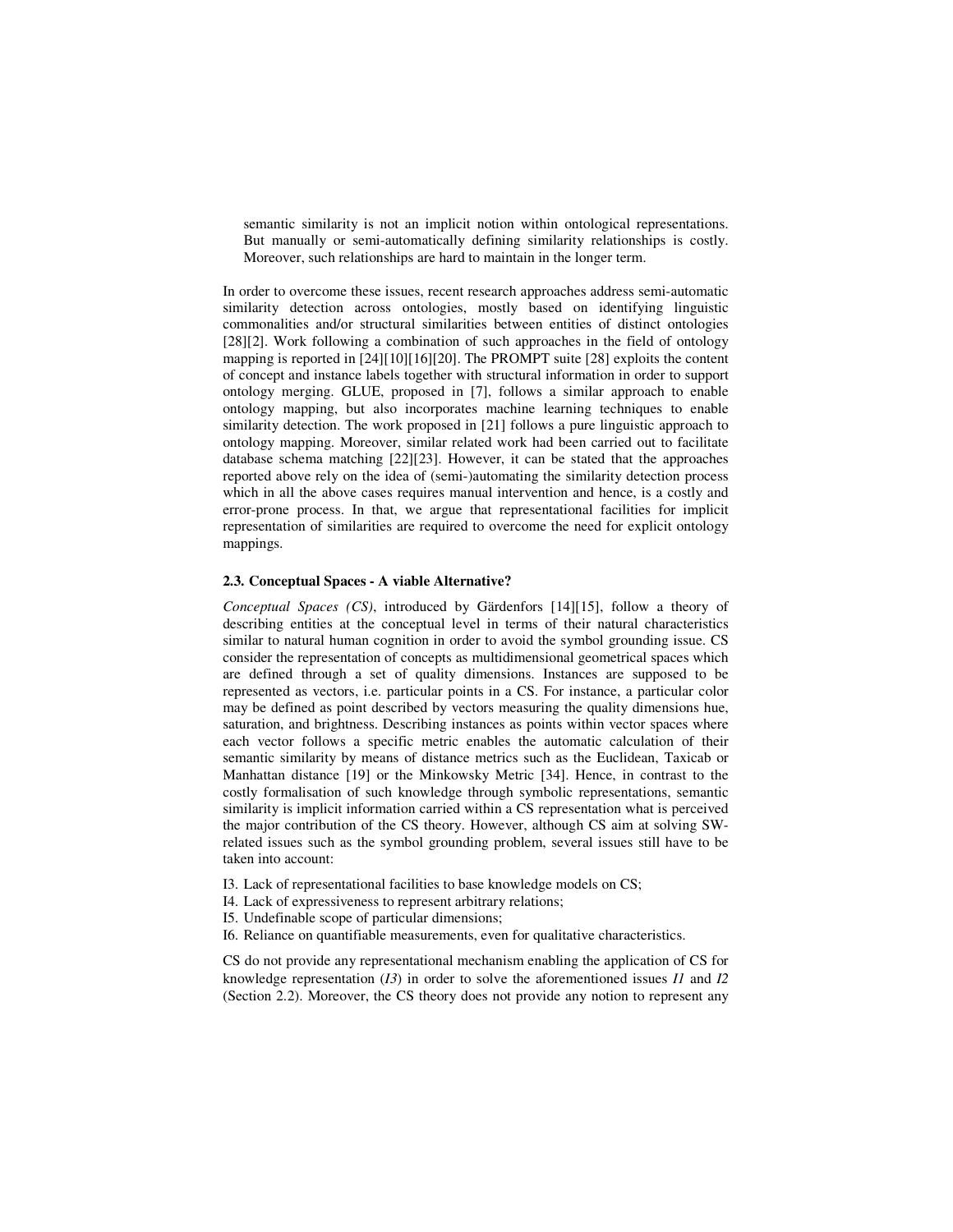semantic similarity is not an implicit notion within ontological representations. But manually or semi-automatically defining similarity relationships is costly. Moreover, such relationships are hard to maintain in the longer term.

In order to overcome these issues, recent research approaches address semi-automatic similarity detection across ontologies, mostly based on identifying linguistic commonalities and/or structural similarities between entities of distinct ontologies [28][2]. Work following a combination of such approaches in the field of ontology mapping is reported in [24][10][16][20]. The PROMPT suite [28] exploits the content of concept and instance labels together with structural information in order to support ontology merging. GLUE, proposed in [7], follows a similar approach to enable ontology mapping, but also incorporates machine learning techniques to enable similarity detection. The work proposed in [21] follows a pure linguistic approach to ontology mapping. Moreover, similar related work had been carried out to facilitate database schema matching [22][23]. However, it can be stated that the approaches reported above rely on the idea of (semi-)automating the similarity detection process which in all the above cases requires manual intervention and hence, is a costly and error-prone process. In that, we argue that representational facilities for implicit representation of similarities are required to overcome the need for explicit ontology mappings.

#### **2.3. Conceptual Spaces - A viable Alternative?**

*Conceptual Spaces (CS)*, introduced by Gärdenfors [14][15], follow a theory of describing entities at the conceptual level in terms of their natural characteristics similar to natural human cognition in order to avoid the symbol grounding issue. CS consider the representation of concepts as multidimensional geometrical spaces which are defined through a set of quality dimensions. Instances are supposed to be represented as vectors, i.e. particular points in a CS. For instance, a particular color may be defined as point described by vectors measuring the quality dimensions hue, saturation, and brightness. Describing instances as points within vector spaces where each vector follows a specific metric enables the automatic calculation of their semantic similarity by means of distance metrics such as the Euclidean, Taxicab or Manhattan distance [19] or the Minkowsky Metric [34]. Hence, in contrast to the costly formalisation of such knowledge through symbolic representations, semantic similarity is implicit information carried within a CS representation what is perceived the major contribution of the CS theory. However, although CS aim at solving SWrelated issues such as the symbol grounding problem, several issues still have to be taken into account:

- I3. Lack of representational facilities to base knowledge models on CS;
- I4. Lack of expressiveness to represent arbitrary relations;
- I5. Undefinable scope of particular dimensions;
- I6. Reliance on quantifiable measurements, even for qualitative characteristics.

CS do not provide any representational mechanism enabling the application of CS for knowledge representation (*I3*) in order to solve the aforementioned issues *I1* and *I2* (Section 2.2). Moreover, the CS theory does not provide any notion to represent any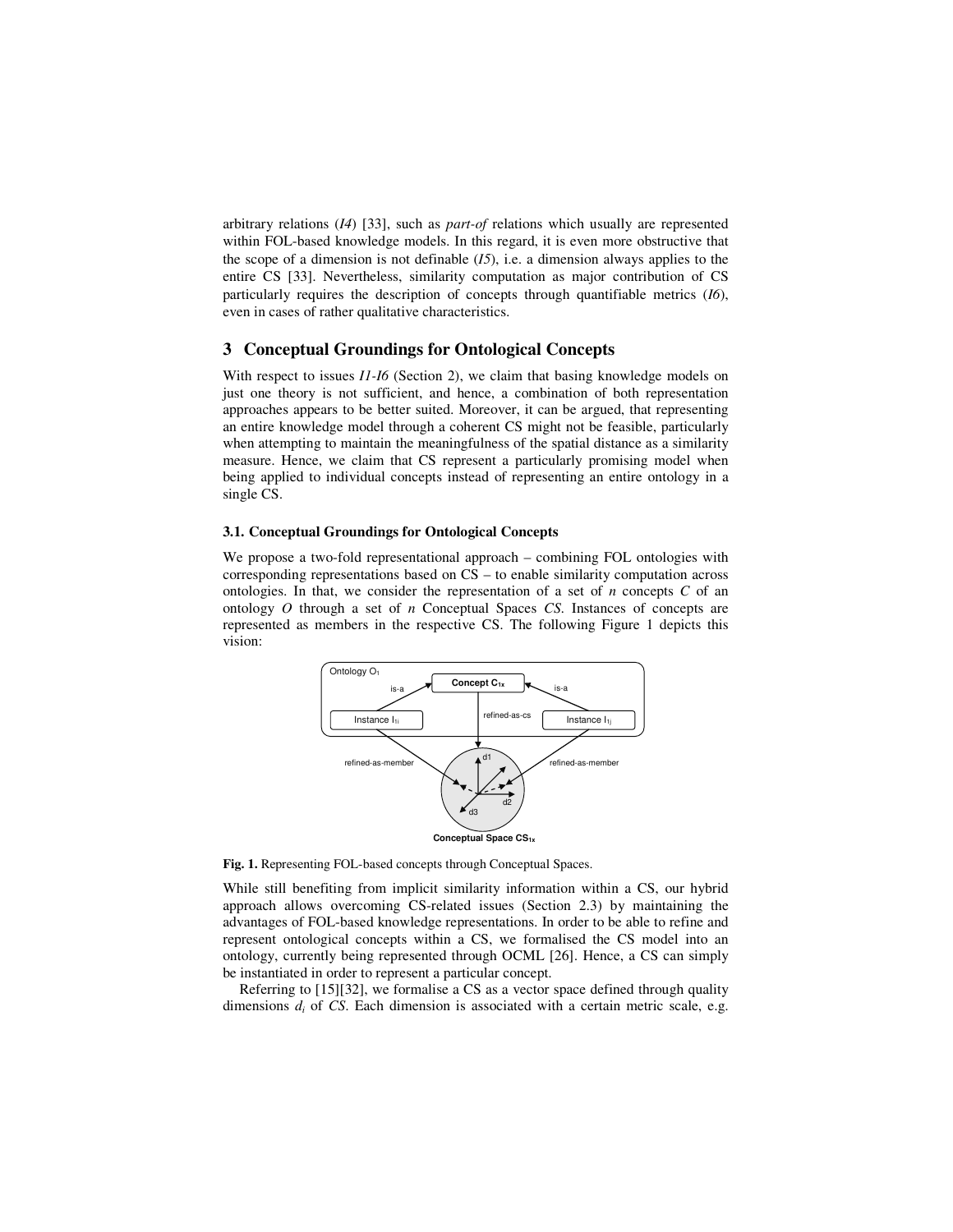arbitrary relations (*I4*) [33], such as *part-of* relations which usually are represented within FOL-based knowledge models. In this regard, it is even more obstructive that the scope of a dimension is not definable (*I5*), i.e. a dimension always applies to the entire CS [33]. Nevertheless, similarity computation as major contribution of CS particularly requires the description of concepts through quantifiable metrics (*I6*), even in cases of rather qualitative characteristics.

#### **3 Conceptual Groundings for Ontological Concepts**

With respect to issues *I1-I6* (Section 2), we claim that basing knowledge models on just one theory is not sufficient, and hence, a combination of both representation approaches appears to be better suited. Moreover, it can be argued, that representing an entire knowledge model through a coherent CS might not be feasible, particularly when attempting to maintain the meaningfulness of the spatial distance as a similarity measure. Hence, we claim that CS represent a particularly promising model when being applied to individual concepts instead of representing an entire ontology in a single CS.

#### **3.1. Conceptual Groundings for Ontological Concepts**

We propose a two-fold representational approach – combining FOL ontologies with corresponding representations based on CS – to enable similarity computation across ontologies. In that, we consider the representation of a set of *n* concepts *C* of an ontology *O* through a set of *n* Conceptual Spaces *CS*. Instances of concepts are represented as members in the respective CS. The following Figure 1 depicts this vision:



Fig. 1. Representing FOL-based concepts through Conceptual Spaces.

While still benefiting from implicit similarity information within a CS, our hybrid approach allows overcoming CS-related issues (Section 2.3) by maintaining the advantages of FOL-based knowledge representations. In order to be able to refine and represent ontological concepts within a CS, we formalised the CS model into an ontology, currently being represented through OCML [26]. Hence, a CS can simply be instantiated in order to represent a particular concept.

Referring to [15][32], we formalise a CS as a vector space defined through quality dimensions  $d_i$  of CS. Each dimension is associated with a certain metric scale, e.g.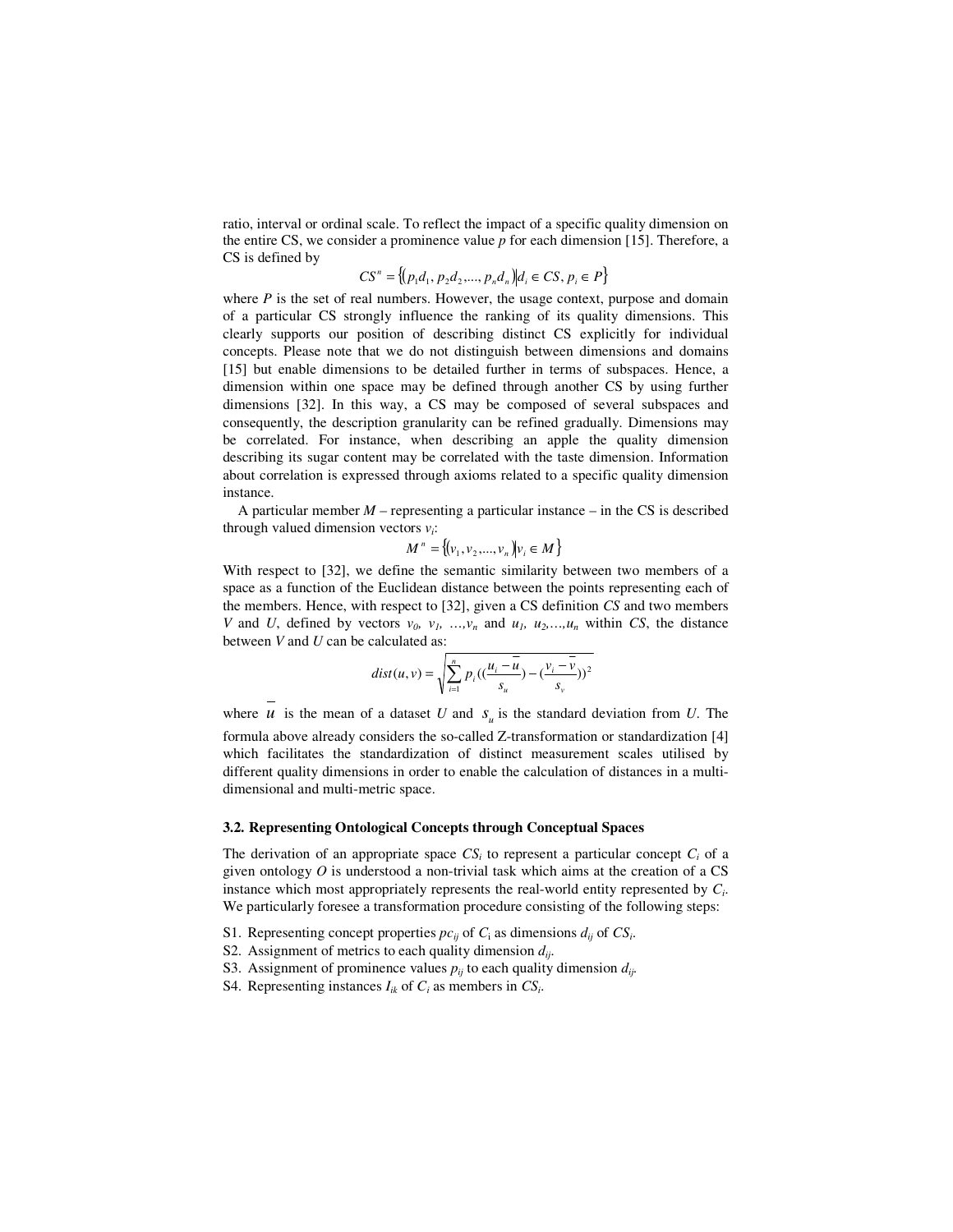ratio, interval or ordinal scale. To reflect the impact of a specific quality dimension on the entire CS, we consider a prominence value *p* for each dimension [15]. Therefore, a CS is defined by

$$
CS^{n} = \{(p_{1}d_{1}, p_{2}d_{2}, ..., p_{n}d_{n}) | d_{i} \in CS, p_{i} \in P\}
$$

where  $P$  is the set of real numbers. However, the usage context, purpose and domain of a particular CS strongly influence the ranking of its quality dimensions. This clearly supports our position of describing distinct CS explicitly for individual concepts. Please note that we do not distinguish between dimensions and domains [15] but enable dimensions to be detailed further in terms of subspaces. Hence, a dimension within one space may be defined through another CS by using further dimensions [32]. In this way, a CS may be composed of several subspaces and consequently, the description granularity can be refined gradually. Dimensions may be correlated. For instance, when describing an apple the quality dimension describing its sugar content may be correlated with the taste dimension. Information about correlation is expressed through axioms related to a specific quality dimension instance.

A particular member  $M$  – representing a particular instance – in the CS is described through valued dimension vectors *v<sup>i</sup>* :

$$
M^{n} = \{ (v_1, v_2, ..., v_n) | v_i \in M \}
$$

With respect to [32], we define the semantic similarity between two members of a space as a function of the Euclidean distance between the points representing each of the members. Hence, with respect to [32], given a CS definition *CS* and two members *V* and *U*, defined by vectors  $v_0$ ,  $v_1$ , …,  $v_n$  and  $u_1$ ,  $u_2$ , …,  $u_n$  within *CS*, the distance between *V* and *U* can be calculated as:

$$
dist(u, v) = \sqrt{\sum_{i=1}^{n} p_i \left( \left( \frac{u_i - \overline{u}}{s_u} \right) - \left( \frac{v_i - \overline{v}}{s_v} \right) \right)^2}
$$

where  $u$  is the mean of a dataset  $U$  and  $s_u$  is the standard deviation from  $U$ . The formula above already considers the so-called Z-transformation or standardization [4] which facilitates the standardization of distinct measurement scales utilised by different quality dimensions in order to enable the calculation of distances in a multidimensional and multi-metric space.

#### **3.2. Representing Ontological Concepts through Conceptual Spaces**

The derivation of an appropriate space  $CS_i$  to represent a particular concept  $C_i$  of a given ontology  $O$  is understood a non-trivial task which aims at the creation of a  $CS$ instance which most appropriately represents the real-world entity represented by *C<sup>i</sup>* . We particularly foresee a transformation procedure consisting of the following steps:

- S1. Representing concept properties  $pc_{ij}$  of  $C_i$  as dimensions  $d_{ij}$  of  $CS_i$ .
- S2. Assignment of metrics to each quality dimension *dij*.
- S3. Assignment of prominence values  $p_{ij}$  to each quality dimension  $d_{ij}$ .
- S4. Representing instances  $I_{ik}$  of  $C_i$  as members in  $CS_i$ .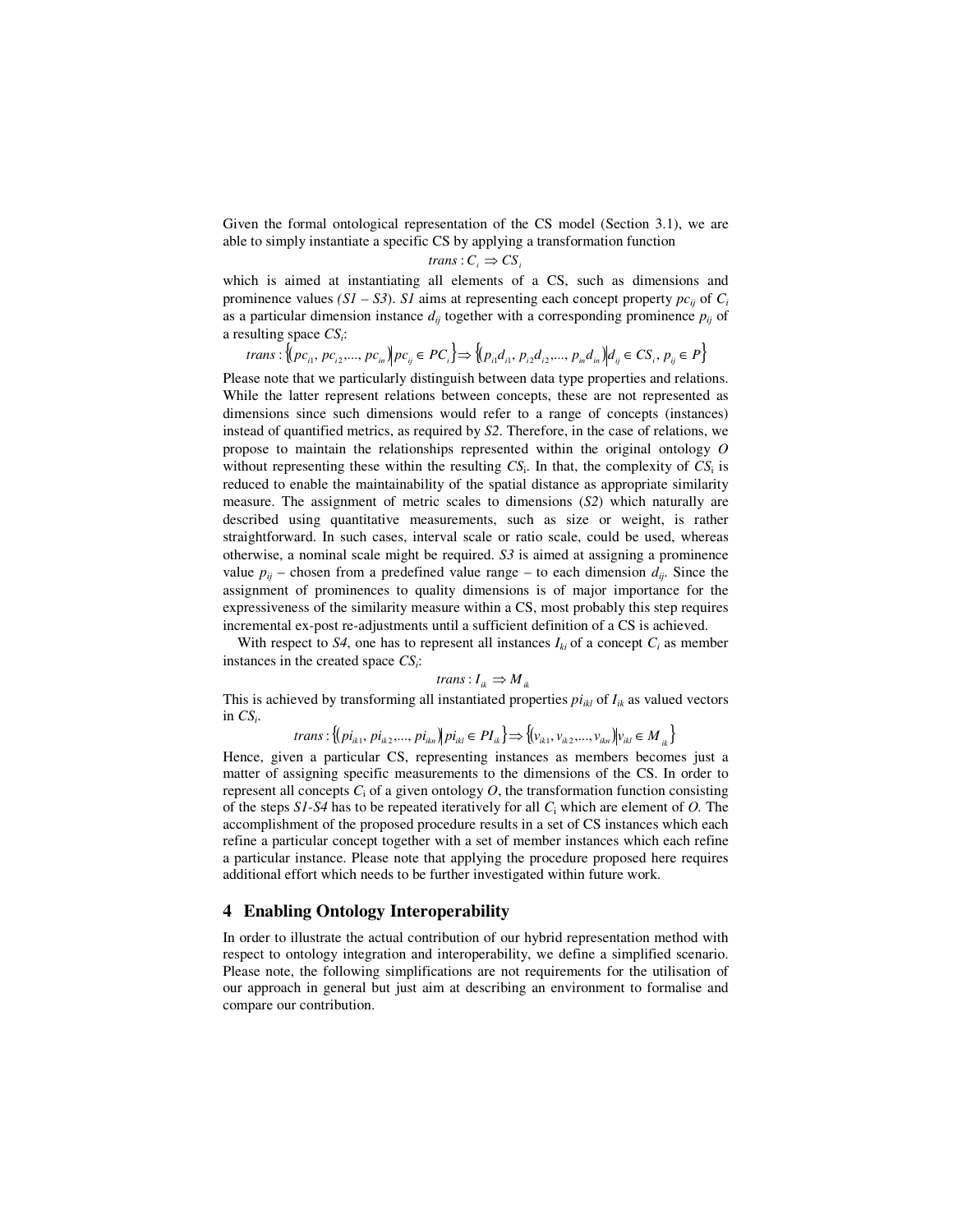Given the formal ontological representation of the CS model (Section 3.1), we are able to simply instantiate a specific CS by applying a transformation function

$$
trans: C_i \Rightarrow CS_i
$$

which is aimed at instantiating all elements of a CS, such as dimensions and prominence values  $(SI - S3)$ . *S1* aims at representing each concept property  $pc_{ij}$  of  $C_i$ as a particular dimension instance  $d_{ij}$  together with a corresponding prominence  $p_{ij}$  of a resulting space *CS<sup>i</sup>* :

$$
ns: \{ (pc_{i1}, pc_{i2}, ..., pc_{in}) | pc_{ij} \in PC_i \} \Rightarrow \{ (p_{i1}d_{i1}, p_{i2}d_{i2}, ..., p_{in}d_{in}) | d_{ij} \in CS_i, p_{ij} \in P \}
$$

Please note that we particularly distinguish between data type properties and relations. While the latter represent relations between concepts, these are not represented as dimensions since such dimensions would refer to a range of concepts (instances) instead of quantified metrics, as required by *S2*. Therefore, in the case of relations, we propose to maintain the relationships represented within the original ontology *O* without representing these within the resulting  $CS_i$ . In that, the complexity of  $CS_i$  is reduced to enable the maintainability of the spatial distance as appropriate similarity measure. The assignment of metric scales to dimensions (*S2*) which naturally are described using quantitative measurements, such as size or weight, is rather straightforward. In such cases, interval scale or ratio scale, could be used, whereas otherwise, a nominal scale might be required. *S3* is aimed at assigning a prominence value  $p_{ij}$  – chosen from a predefined value range – to each dimension  $d_{ij}$ . Since the assignment of prominences to quality dimensions is of major importance for the expressiveness of the similarity measure within a CS, most probably this step requires incremental ex-post re-adjustments until a sufficient definition of a CS is achieved.

With respect to *S4*, one has to represent all instances  $I_{ki}$  of a concept  $C_i$  as member instances in the created space *CS<sup>i</sup>* :

$$
trans: I_{ik} \Rightarrow M_{ik}
$$

This is achieved by transforming all instantiated properties  $pi_{ikl}$  of  $I_{ik}$  as valued vectors in  $CS_i$ .

trans: 
$$
\{(pi_{ik1}, \pi_{ik2}, \ldots, \pi_{ikn}) | \pi_{ik} \in PI_{ik}\} \Rightarrow \{(v_{ik1}, v_{ik2}, \ldots, v_{ikn}) | v_{ik} \in M_{ik}\}
$$

Hence, given a particular CS, representing instances as members becomes just a matter of assigning specific measurements to the dimensions of the CS. In order to represent all concepts  $C_i$  of a given ontology  $O$ , the transformation function consisting of the steps *S1-S4* has to be repeated iteratively for all *C*<sup>i</sup> which are element of *O.* The accomplishment of the proposed procedure results in a set of CS instances which each refine a particular concept together with a set of member instances which each refine a particular instance. Please note that applying the procedure proposed here requires additional effort which needs to be further investigated within future work.

#### **4 Enabling Ontology Interoperability**

 $tra<sup>i</sup>$ 

In order to illustrate the actual contribution of our hybrid representation method with respect to ontology integration and interoperability, we define a simplified scenario. Please note, the following simplifications are not requirements for the utilisation of our approach in general but just aim at describing an environment to formalise and compare our contribution.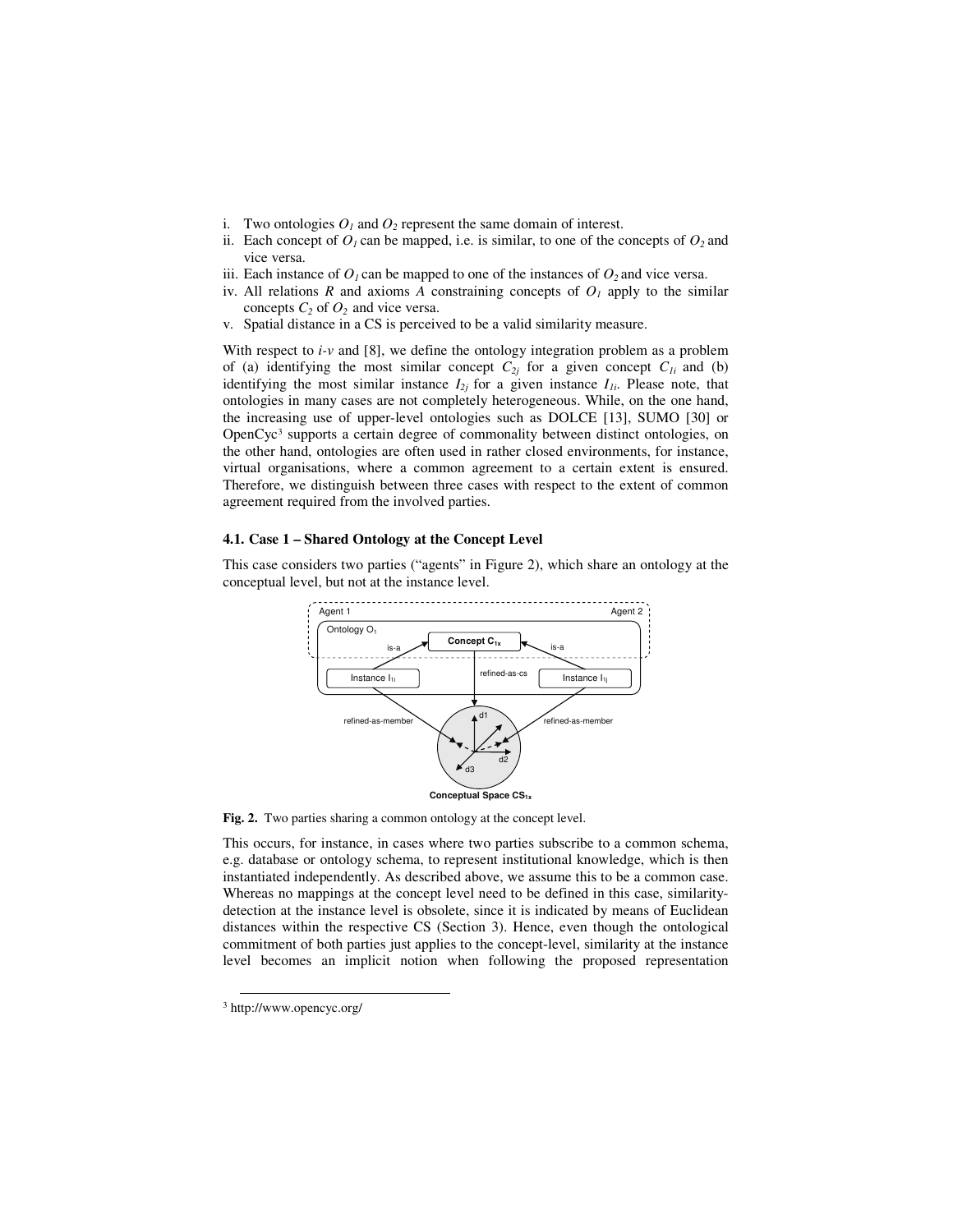- i. Two ontologies  $O<sub>1</sub>$  and  $O<sub>2</sub>$  represent the same domain of interest.
- ii. Each concept of  $O<sub>l</sub>$  can be mapped, i.e. is similar, to one of the concepts of  $O<sub>2</sub>$  and vice versa.
- iii. Each instance of  $O<sub>1</sub>$  can be mapped to one of the instances of  $O<sub>2</sub>$  and vice versa.
- iv. All relations  $R$  and axioms  $A$  constraining concepts of  $O<sub>I</sub>$  apply to the similar concepts  $C_2$  of  $O_2$  and vice versa.
- v. Spatial distance in a CS is perceived to be a valid similarity measure.

With respect to *i-v* and [8], we define the ontology integration problem as a problem of (a) identifying the most similar concept  $C_{2j}$  for a given concept  $C_{1i}$  and (b) identifying the most similar instance  $I_{2j}$  for a given instance  $I_{1i}$ . Please note, that ontologies in many cases are not completely heterogeneous. While, on the one hand, the increasing use of upper-level ontologies such as DOLCE [13], SUMO [30] or OpenCyc<sup>3</sup> supports a certain degree of commonality between distinct ontologies, on the other hand, ontologies are often used in rather closed environments, for instance, virtual organisations, where a common agreement to a certain extent is ensured. Therefore, we distinguish between three cases with respect to the extent of common agreement required from the involved parties.

#### **4.1. Case 1 – Shared Ontology at the Concept Level**

This case considers two parties ("agents" in Figure 2), which share an ontology at the conceptual level, but not at the instance level.



**Fig. 2.** Two parties sharing a common ontology at the concept level.

This occurs, for instance, in cases where two parties subscribe to a common schema, e.g. database or ontology schema, to represent institutional knowledge, which is then instantiated independently. As described above, we assume this to be a common case. Whereas no mappings at the concept level need to be defined in this case, similaritydetection at the instance level is obsolete, since it is indicated by means of Euclidean distances within the respective CS (Section 3). Hence, even though the ontological commitment of both parties just applies to the concept-level, similarity at the instance level becomes an implicit notion when following the proposed representation

<u>.</u>

<sup>3</sup> http://www.opencyc.org/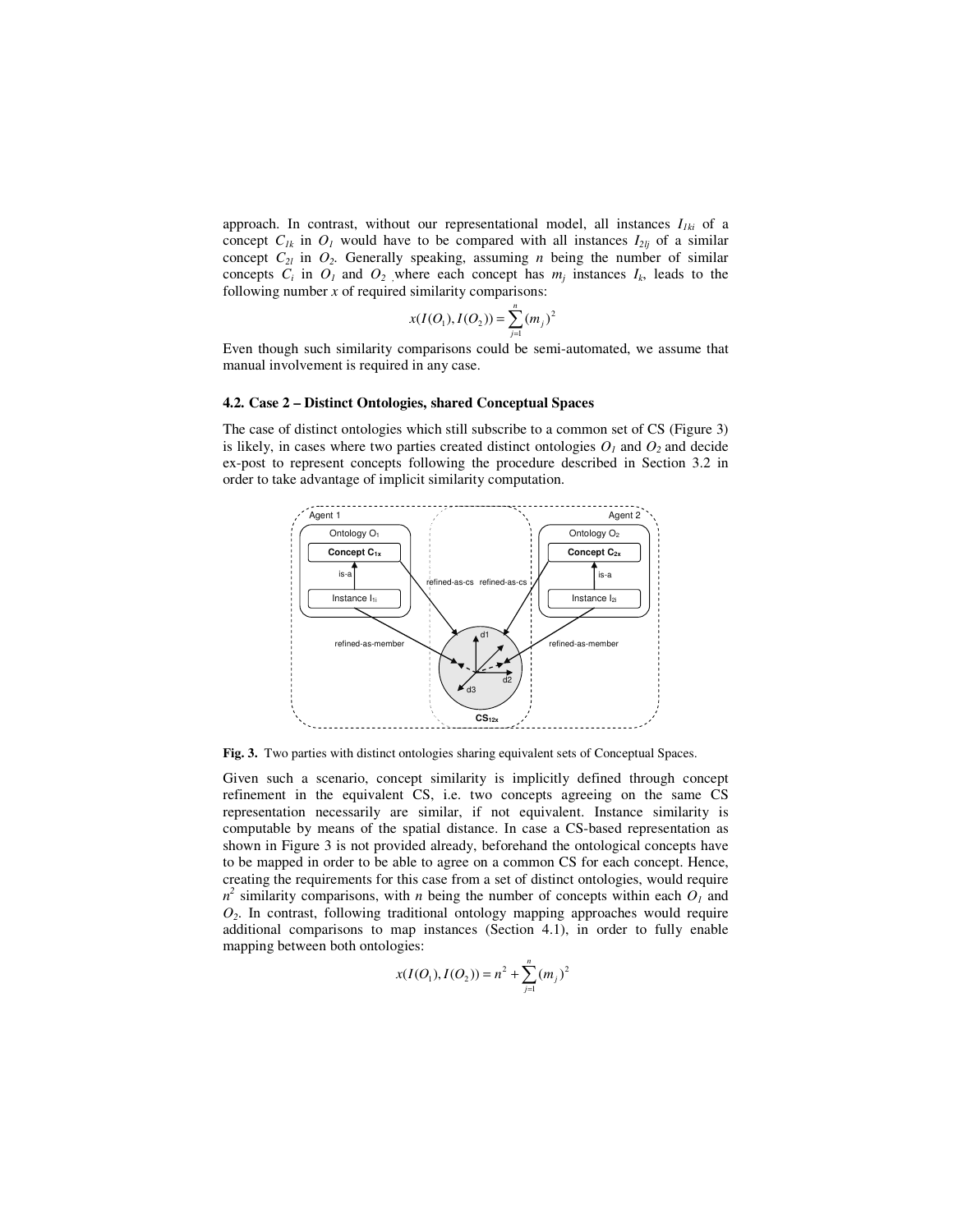approach. In contrast, without our representational model, all instances  $I_{1ki}$  of a concept  $C_{lk}$  in  $O_l$  would have to be compared with all instances  $I_{2li}$  of a similar concept  $C_{2l}$  in  $O_2$ . Generally speaking, assuming *n* being the number of similar concepts  $C_i$  in  $O_j$  and  $O_2$ , where each concept has  $m_j$  instances  $I_k$ , leads to the following number *x* of required similarity comparisons:

$$
x(I(O_1), I(O_2)) = \sum_{j=1}^{n} (m_j)^2
$$

Even though such similarity comparisons could be semi-automated, we assume that manual involvement is required in any case.

#### **4.2. Case 2 – Distinct Ontologies, shared Conceptual Spaces**

The case of distinct ontologies which still subscribe to a common set of CS (Figure 3) is likely, in cases where two parties created distinct ontologies  $O<sub>1</sub>$  and  $O<sub>2</sub>$  and decide ex-post to represent concepts following the procedure described in Section 3.2 in order to take advantage of implicit similarity computation.



**Fig. 3.** Two parties with distinct ontologies sharing equivalent sets of Conceptual Spaces.

Given such a scenario, concept similarity is implicitly defined through concept refinement in the equivalent CS, i.e. two concepts agreeing on the same CS representation necessarily are similar, if not equivalent. Instance similarity is computable by means of the spatial distance. In case a CS-based representation as shown in Figure 3 is not provided already, beforehand the ontological concepts have to be mapped in order to be able to agree on a common CS for each concept. Hence, creating the requirements for this case from a set of distinct ontologies, would require  $n^2$  similarity comparisons, with *n* being the number of concepts within each  $O_I$  and *O2* . In contrast, following traditional ontology mapping approaches would require additional comparisons to map instances (Section 4.1), in order to fully enable mapping between both ontologies:

$$
x(I(O_1), I(O_2)) = n^2 + \sum_{j=1}^{n} (m_j)^2
$$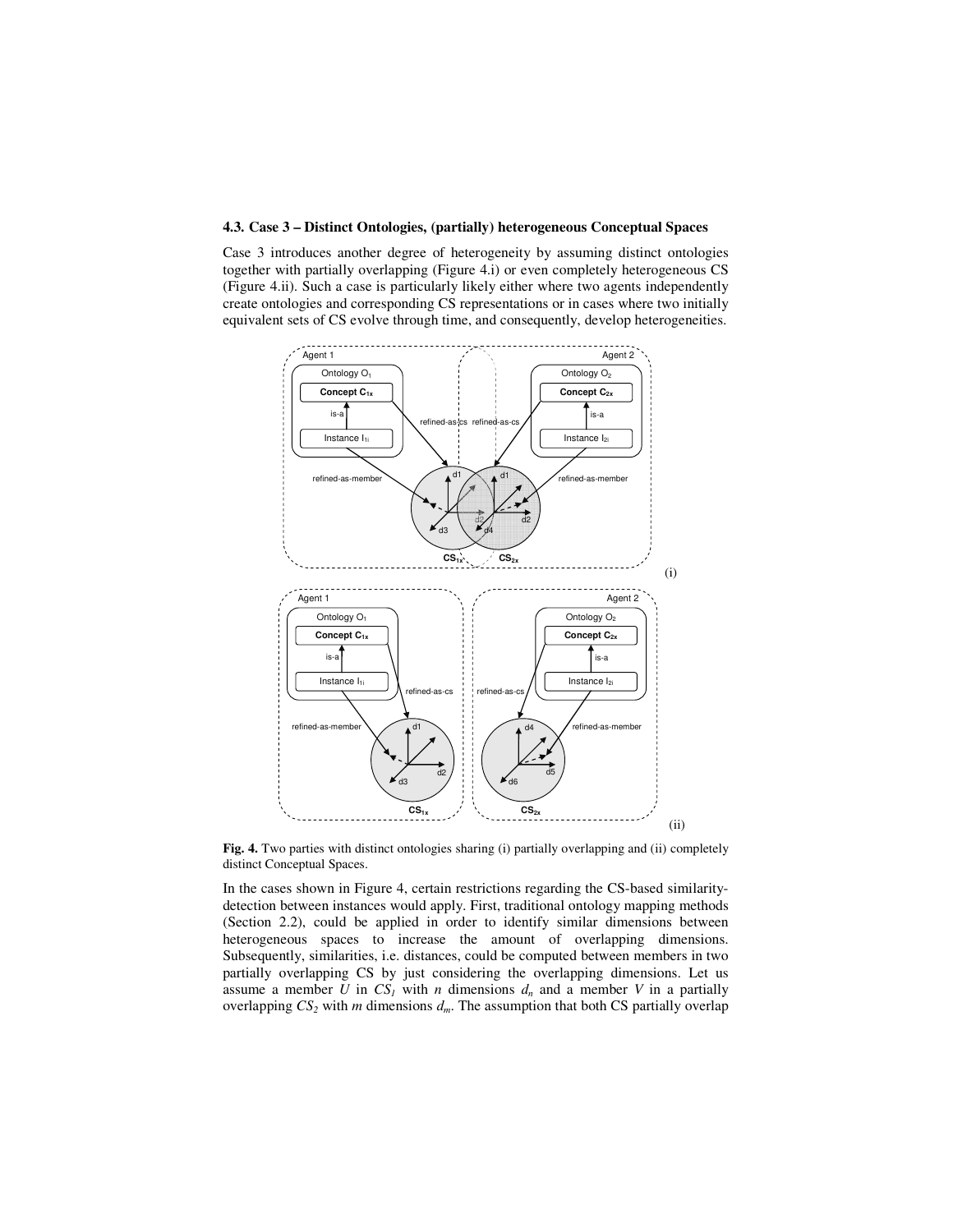#### **4.3. Case 3 – Distinct Ontologies, (partially) heterogeneous Conceptual Spaces**

Case 3 introduces another degree of heterogeneity by assuming distinct ontologies together with partially overlapping (Figure 4.i) or even completely heterogeneous CS (Figure 4.ii). Such a case is particularly likely either where two agents independently create ontologies and corresponding CS representations or in cases where two initially equivalent sets of CS evolve through time, and consequently, develop heterogeneities.



**Fig. 4.** Two parties with distinct ontologies sharing (i) partially overlapping and (ii) completely distinct Conceptual Spaces.

In the cases shown in Figure 4, certain restrictions regarding the CS-based similaritydetection between instances would apply. First, traditional ontology mapping methods (Section 2.2), could be applied in order to identify similar dimensions between heterogeneous spaces to increase the amount of overlapping dimensions. Subsequently, similarities, i.e. distances, could be computed between members in two partially overlapping CS by just considering the overlapping dimensions. Let us assume a member *U* in  $CS<sub>I</sub>$  with *n* dimensions  $d<sub>n</sub>$  and a member *V* in a partially overlapping *CS<sup>2</sup>* with *m* dimensions *dm*. The assumption that both CS partially overlap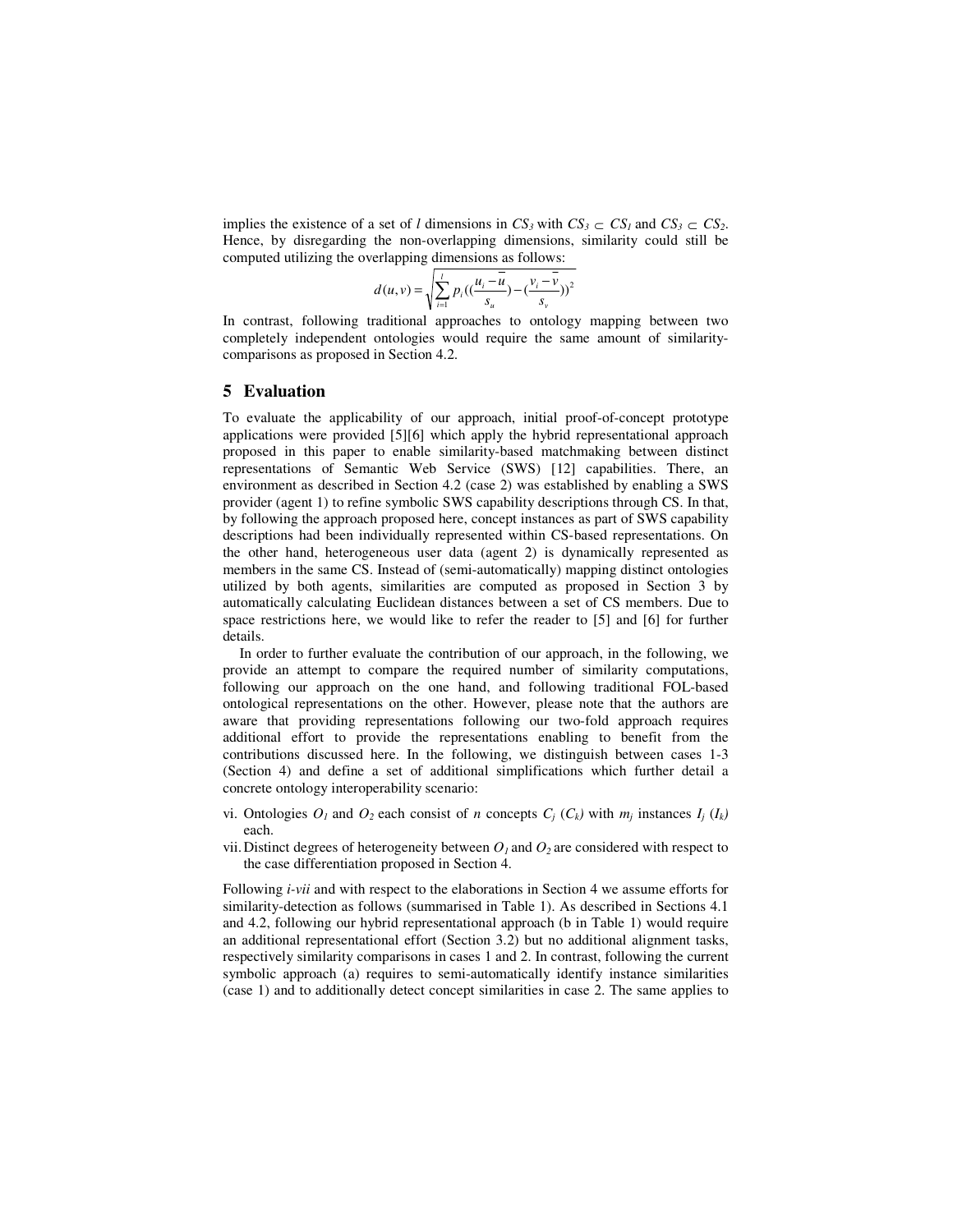implies the existence of a set of *l* dimensions in  $CS_3$  with  $CS_3 \subset CS_1$  and  $CS_3 \subset CS_2$ . Hence, by disregarding the non-overlapping dimensions, similarity could still be computed utilizing the overlapping dimensions as follows:

$$
d(u, v) = \sqrt{\sum_{i=1}^{l} p_i \left( \left( \frac{u_i - \overline{u}}{s_u} \right) - \left( \frac{v_i - \overline{v}}{s_v} \right) \right)^2}
$$

In contrast, following traditional approaches to ontology mapping between two completely independent ontologies would require the same amount of similaritycomparisons as proposed in Section 4.2.

#### **5 Evaluation**

To evaluate the applicability of our approach, initial proof-of-concept prototype applications were provided [5][6] which apply the hybrid representational approach proposed in this paper to enable similarity-based matchmaking between distinct representations of Semantic Web Service (SWS) [12] capabilities. There, an environment as described in Section 4.2 (case 2) was established by enabling a SWS provider (agent 1) to refine symbolic SWS capability descriptions through CS. In that, by following the approach proposed here, concept instances as part of SWS capability descriptions had been individually represented within CS-based representations. On the other hand, heterogeneous user data (agent 2) is dynamically represented as members in the same CS. Instead of (semi-automatically) mapping distinct ontologies utilized by both agents, similarities are computed as proposed in Section 3 by automatically calculating Euclidean distances between a set of CS members. Due to space restrictions here, we would like to refer the reader to [5] and [6] for further details.

In order to further evaluate the contribution of our approach, in the following, we provide an attempt to compare the required number of similarity computations, following our approach on the one hand, and following traditional FOL-based ontological representations on the other. However, please note that the authors are aware that providing representations following our two-fold approach requires additional effort to provide the representations enabling to benefit from the contributions discussed here. In the following, we distinguish between cases 1-3 (Section 4) and define a set of additional simplifications which further detail a concrete ontology interoperability scenario:

- vi. Ontologies  $O_I$  and  $O_2$  each consist of *n* concepts  $C_j$  ( $C_k$ ) with  $m_j$  instances  $I_j$  ( $I_k$ ) each.
- vii. Distinct degrees of heterogeneity between  $O<sub>1</sub>$  and  $O<sub>2</sub>$  are considered with respect to the case differentiation proposed in Section 4.

Following *i-vii* and with respect to the elaborations in Section 4 we assume efforts for similarity-detection as follows (summarised in Table 1). As described in Sections 4.1 and 4.2, following our hybrid representational approach (b in Table 1) would require an additional representational effort (Section 3.2) but no additional alignment tasks, respectively similarity comparisons in cases 1 and 2. In contrast, following the current symbolic approach (a) requires to semi-automatically identify instance similarities (case 1) and to additionally detect concept similarities in case 2. The same applies to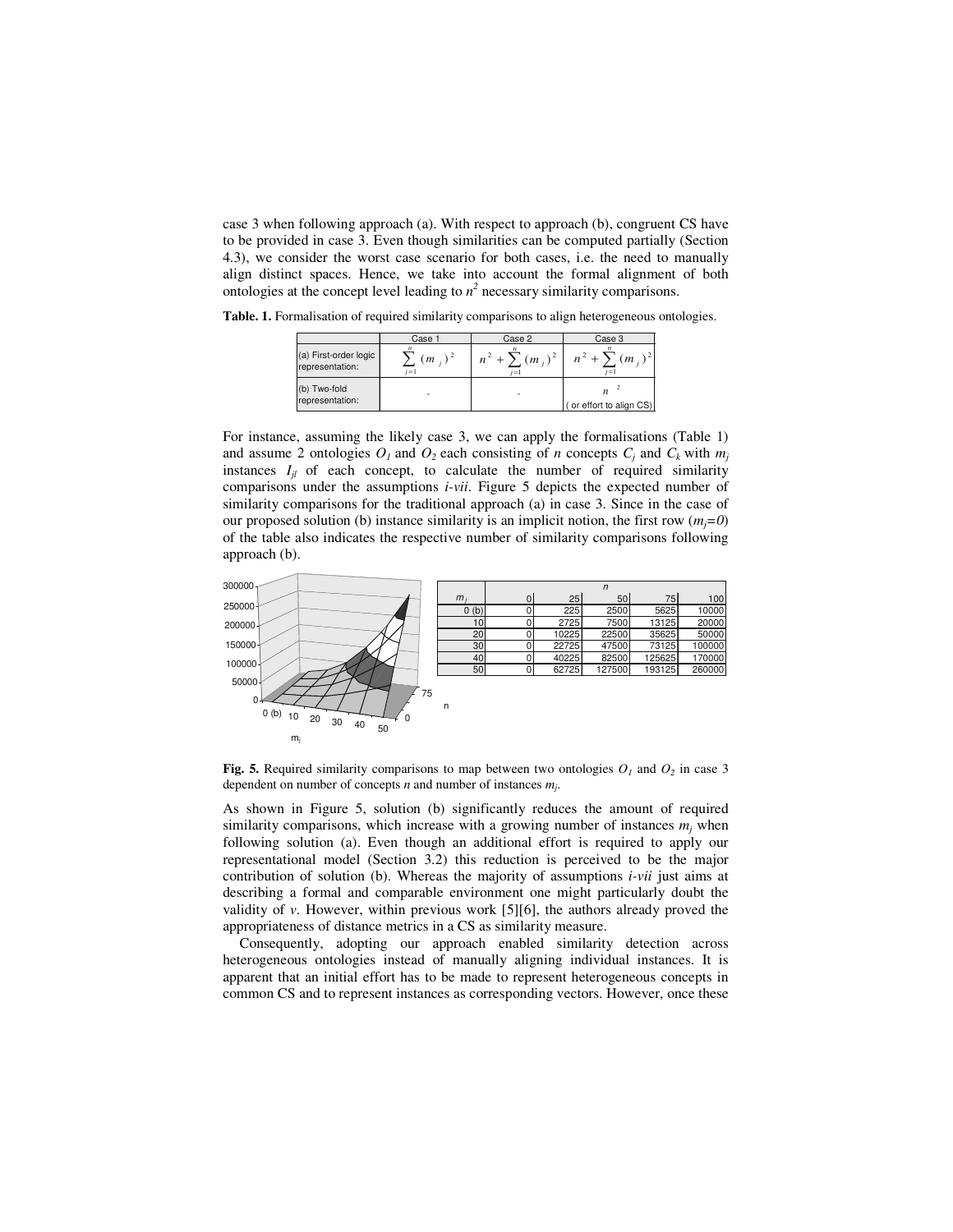case 3 when following approach (a). With respect to approach (b), congruent CS have to be provided in case 3. Even though similarities can be computed partially (Section 4.3), we consider the worst case scenario for both cases, i.e. the need to manually align distinct spaces. Hence, we take into account the formal alignment of both ontologies at the concept level leading to  $n^2$  necessary similarity comparisons.

**Table. 1.** Formalisation of required similarity comparisons to align heterogeneous ontologies.

|                                          | Case 1           | Case 2 | Case 3                                                |
|------------------------------------------|------------------|--------|-------------------------------------------------------|
| (a) First-order logic<br>representation: | $(m_i)$<br>$i=1$ | $i=1$  | $n^2 + \sum (m_i)^2 \mid n^2 + \sum (m_i)^2$<br>$i=1$ |
| (b) Two-fold<br>representation:          |                  | ٠      | $\boldsymbol{n}$<br>(or effort to align CS)           |

For instance, assuming the likely case 3, we can apply the formalisations (Table 1) and assume 2 ontologies  $O<sub>l</sub>$  and  $O<sub>2</sub>$  each consisting of *n* concepts  $C<sub>j</sub>$  and  $C<sub>k</sub>$  with  $m<sub>j</sub>$ instances  $I_{jl}$  of each concept, to calculate the number of required similarity comparisons under the assumptions *i-vii*. Figure 5 depicts the expected number of similarity comparisons for the traditional approach (a) in case 3. Since in the case of our proposed solution (b) instance similarity is an implicit notion, the first row  $(m_i=0)$ of the table also indicates the respective number of similarity comparisons following approach (b).



**Fig. 5.** Required similarity comparisons to map between two ontologies  $O<sub>I</sub>$  and  $O<sub>2</sub>$  in case 3 dependent on number of concepts *n* and number of instances *m<sup>j</sup>* .

As shown in Figure 5, solution (b) significantly reduces the amount of required similarity comparisons, which increase with a growing number of instances  $m_j$  when following solution (a). Even though an additional effort is required to apply our representational model (Section 3.2) this reduction is perceived to be the major contribution of solution (b). Whereas the majority of assumptions *i-vii* just aims at describing a formal and comparable environment one might particularly doubt the validity of *v*. However, within previous work [5][6], the authors already proved the appropriateness of distance metrics in a CS as similarity measure.

Consequently, adopting our approach enabled similarity detection across heterogeneous ontologies instead of manually aligning individual instances. It is apparent that an initial effort has to be made to represent heterogeneous concepts in common CS and to represent instances as corresponding vectors. However, once these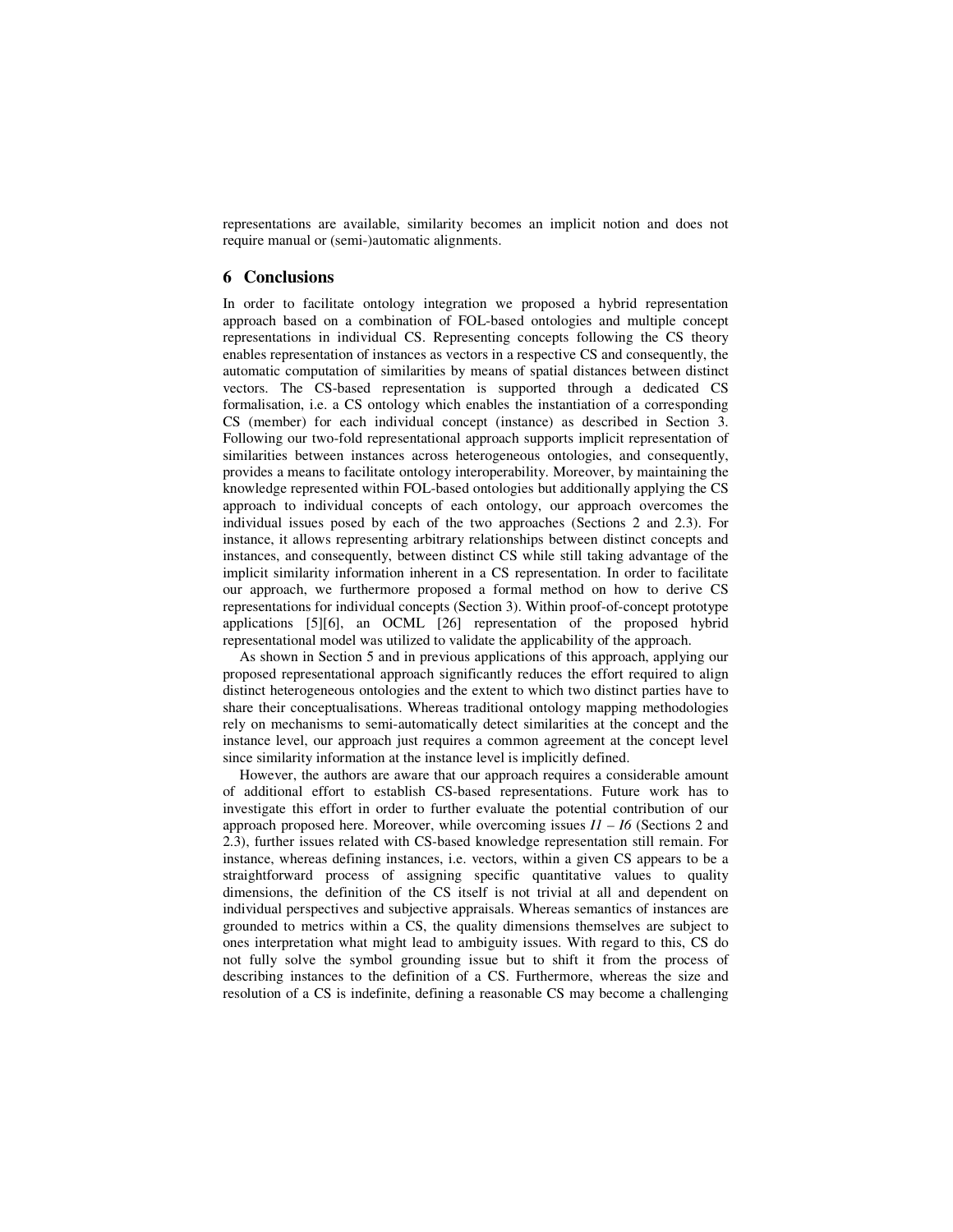representations are available, similarity becomes an implicit notion and does not require manual or (semi-)automatic alignments.

#### **6 Conclusions**

In order to facilitate ontology integration we proposed a hybrid representation approach based on a combination of FOL-based ontologies and multiple concept representations in individual CS. Representing concepts following the CS theory enables representation of instances as vectors in a respective CS and consequently, the automatic computation of similarities by means of spatial distances between distinct vectors. The CS-based representation is supported through a dedicated CS formalisation, i.e. a CS ontology which enables the instantiation of a corresponding CS (member) for each individual concept (instance) as described in Section 3. Following our two-fold representational approach supports implicit representation of similarities between instances across heterogeneous ontologies, and consequently, provides a means to facilitate ontology interoperability. Moreover, by maintaining the knowledge represented within FOL-based ontologies but additionally applying the CS approach to individual concepts of each ontology, our approach overcomes the individual issues posed by each of the two approaches (Sections 2 and 2.3). For instance, it allows representing arbitrary relationships between distinct concepts and instances, and consequently, between distinct CS while still taking advantage of the implicit similarity information inherent in a CS representation. In order to facilitate our approach, we furthermore proposed a formal method on how to derive CS representations for individual concepts (Section 3). Within proof-of-concept prototype applications [5][6], an OCML [26] representation of the proposed hybrid representational model was utilized to validate the applicability of the approach.

As shown in Section 5 and in previous applications of this approach, applying our proposed representational approach significantly reduces the effort required to align distinct heterogeneous ontologies and the extent to which two distinct parties have to share their conceptualisations. Whereas traditional ontology mapping methodologies rely on mechanisms to semi-automatically detect similarities at the concept and the instance level, our approach just requires a common agreement at the concept level since similarity information at the instance level is implicitly defined.

However, the authors are aware that our approach requires a considerable amount of additional effort to establish CS-based representations. Future work has to investigate this effort in order to further evaluate the potential contribution of our approach proposed here. Moreover, while overcoming issues  $II - I6$  (Sections 2 and 2.3), further issues related with CS-based knowledge representation still remain. For instance, whereas defining instances, i.e. vectors, within a given CS appears to be a straightforward process of assigning specific quantitative values to quality dimensions, the definition of the CS itself is not trivial at all and dependent on individual perspectives and subjective appraisals. Whereas semantics of instances are grounded to metrics within a CS, the quality dimensions themselves are subject to ones interpretation what might lead to ambiguity issues. With regard to this, CS do not fully solve the symbol grounding issue but to shift it from the process of describing instances to the definition of a CS. Furthermore, whereas the size and resolution of a CS is indefinite, defining a reasonable CS may become a challenging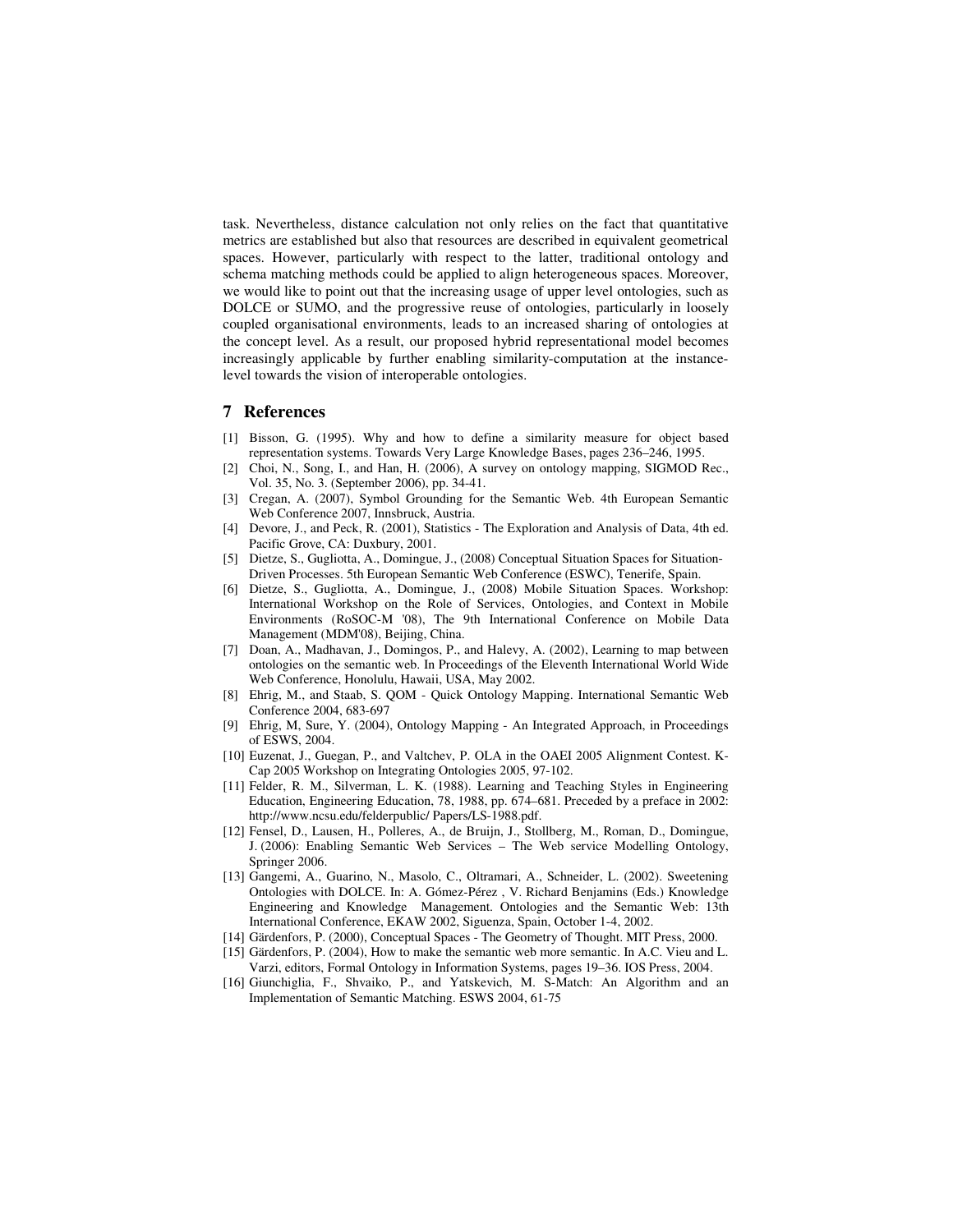task. Nevertheless, distance calculation not only relies on the fact that quantitative metrics are established but also that resources are described in equivalent geometrical spaces. However, particularly with respect to the latter, traditional ontology and schema matching methods could be applied to align heterogeneous spaces. Moreover, we would like to point out that the increasing usage of upper level ontologies, such as DOLCE or SUMO, and the progressive reuse of ontologies, particularly in loosely coupled organisational environments, leads to an increased sharing of ontologies at the concept level. As a result, our proposed hybrid representational model becomes increasingly applicable by further enabling similarity-computation at the instancelevel towards the vision of interoperable ontologies.

#### **7 References**

- [1] Bisson, G. (1995). Why and how to define a similarity measure for object based representation systems. Towards Very Large Knowledge Bases, pages 236–246, 1995.
- [2] Choi, N., Song, I., and Han, H. (2006), A survey on ontology mapping, SIGMOD Rec., Vol. 35, No. 3. (September 2006), pp. 34-41.
- [3] Cregan, A. (2007), Symbol Grounding for the Semantic Web. 4th European Semantic Web Conference 2007, Innsbruck, Austria.
- [4] Devore, J., and Peck, R. (2001), Statistics The Exploration and Analysis of Data, 4th ed. Pacific Grove, CA: Duxbury, 2001.
- [5] Dietze, S., Gugliotta, A., Domingue, J., (2008) Conceptual Situation Spaces for Situation-Driven Processes. 5th European Semantic Web Conference (ESWC), Tenerife, Spain.
- [6] Dietze, S., Gugliotta, A., Domingue, J., (2008) Mobile Situation Spaces. Workshop: International Workshop on the Role of Services, Ontologies, and Context in Mobile Environments (RoSOC-M '08), The 9th International Conference on Mobile Data Management (MDM'08), Beijing, China.
- [7] Doan, A., Madhavan, J., Domingos, P., and Halevy, A. (2002), Learning to map between ontologies on the semantic web. In Proceedings of the Eleventh International World Wide Web Conference, Honolulu, Hawaii, USA, May 2002.
- [8] Ehrig, M., and Staab, S. QOM Quick Ontology Mapping. International Semantic Web Conference 2004, 683-697
- [9] Ehrig, M, Sure, Y. (2004), Ontology Mapping An Integrated Approach, in Proceedings of ESWS, 2004.
- [10] Euzenat, J., Guegan, P., and Valtchev, P. OLA in the OAEI 2005 Alignment Contest. K-Cap 2005 Workshop on Integrating Ontologies 2005, 97-102.
- [11] Felder, R. M., Silverman, L. K. (1988). Learning and Teaching Styles in Engineering Education, Engineering Education, 78, 1988, pp. 674–681. Preceded by a preface in 2002: http://www.ncsu.edu/felderpublic/ Papers/LS-1988.pdf.
- [12] Fensel, D., Lausen, H., Polleres, A., de Bruijn, J., Stollberg, M., Roman, D., Domingue, J. (2006): Enabling Semantic Web Services – The Web service Modelling Ontology, Springer 2006.
- [13] Gangemi, A., Guarino, N., Masolo, C., Oltramari, A., Schneider, L. (2002). Sweetening Ontologies with DOLCE. In: A. Gómez-Pérez , V. Richard Benjamins (Eds.) Knowledge Engineering and Knowledge Management. Ontologies and the Semantic Web: 13th International Conference, EKAW 2002, Siguenza, Spain, October 1-4, 2002.
- [14] Gärdenfors, P. (2000), Conceptual Spaces The Geometry of Thought. MIT Press, 2000.
- [15] Gärdenfors, P. (2004), How to make the semantic web more semantic. In A.C. Vieu and L. Varzi, editors, Formal Ontology in Information Systems, pages 19–36. IOS Press, 2004.
- [16] Giunchiglia, F., Shvaiko, P., and Yatskevich, M. S-Match: An Algorithm and an Implementation of Semantic Matching. ESWS 2004, 61-75